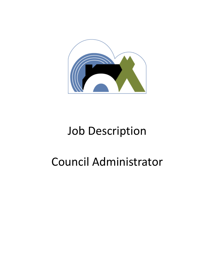

# Job Description

# Council Administrator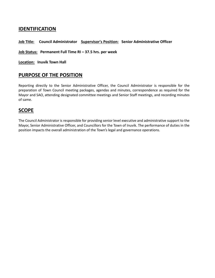## **IDENTIFICATION**

#### **Job Title: Council Administrator Supervisor's Position: Senior Administrative Officer**

#### **Job Status: Permanent Full Time RI – 37.5 hrs. per week**

**Location: Inuvik Town Hall**

### **PURPOSE OF THE POSITION**

Reporting directly to the Senior Administrative Officer, the Council Administrator is responsible for the preparation of Town Council meeting packages, agendas and minutes, correspondence as required for the Mayor and SAO, attending designated committee meetings and Senior Staff meetings, and recording minutes of same.

### **SCOPE**

The Council Administrator is responsible for providing senior level executive and administrative support to the Mayor, Senior Administrative Officer, and Councillors for the Town of Inuvik. The performance of duties in the position impacts the overall administration of the Town's legal and governance operations.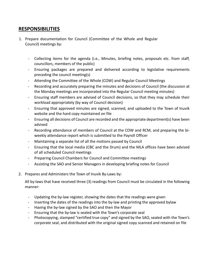## **RESPONSIBILITIES**

- 1. Prepare documentation for Council (Committee of the Whole and Regular Council) meetings by:
	- Collecting items for the agenda (i.e., Minutes, briefing notes, proposals etc. from staff, councillors, members of the public)
	- Ensuring packages are prepared and delivered according to legislative requirements preceding the council meeting(s)
	- Attending the Committee of the Whole (COW) and Regular Council Meetings
	- Recording and accurately preparing the minutes and decisions of Council (the discussion at the Monday meetings are incorporated into the Regular Council meeting minutes)
	- Ensuring staff members are advised of Council decisions, so that they may schedule their workload appropriately (by way of Council decision)
	- Ensuring that approved minutes are signed, scanned, and uploaded to the Town of Inuvik website and the hard copy maintained on file
	- Ensuring all decisions of Council are recorded and the appropriate department(s) have been advised
	- Recording attendance of members of Council at the COW and RCM, and preparing the biweekly attendance report which is submitted to the Payroll Officer
	- Maintaining a separate list of all the motions passed by Council
	- Ensuring that the local media (CBC and the Drum) and the MLA offices have been advised of all scheduled Council meetings
	- Preparing Council Chambers for Council and Committee meetings
	- Assisting the SAO and Senior Managers in developing briefing notes for Council
- 2. Prepares and Administers the Town of Inuvik By-Laws by:

All by-laws that have received three (3) readings from Council must be circulated in the following manner:

- Updating the by-law register, showing the dates that the readings were given
- Inserting the dates of the readings into the by-law and printing the approved bylaw
- Having the by-law signed by the SAO and then the Mayor
- Ensuring that the by-law is sealed with the Town's corporate seal
- Photocopying, stamped "certified true copy" and signed by the SAO, sealed with the Town's corporate seal, and distributed with the original signed copy scanned and retained on file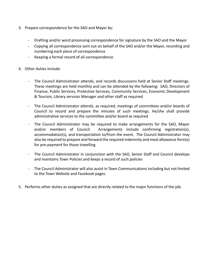- 3. Prepare correspondence for the SAO and Mayor by:
	- Drafting and/or word processing correspondence for signature by the SAO and the Mayor
	- Copying all correspondence sent out on behalf of the SAO and/or the Mayor, recording and numbering each piece of correspondence
	- Keeping a formal record of all correspondence
- 4. Other duties include:
	- The Council Administrator attends, and records discussions held at Senior Staff meetings. These meetings are held monthly and can be attended by the following: SAO, Directors of Finance, Public Services, Protective Services, Community Services, Economic Development & Tourism, Library services Manager and other staff as required
	- The Council Administrator attends, as required, meetings of committees and/or boards of Council to record and prepare the minutes of such meetings. He/she shall provide administrative services to the committee and/or board as required
	- The Council Administrator may be required to make arrangements for the SAO, Mayor and/or members of Council. Arrangements include confirming registration(s), accommodation(s), and transportation to/from the event. The Council Administrator may also be required to prepare and forward the required indemnity and meal allowance form(s) for pre-payment for those travelling
	- The Council Administrator in conjunction with the SAO, Senior Staff and Council develops and maintains Town Policies and keeps a record of such policies
	- The Council Administrator will also assist in Town Communications including but not limited to the Town Website and Facebook pages.
- 5. Performs other duties as assigned that are directly related to the major functions of the job.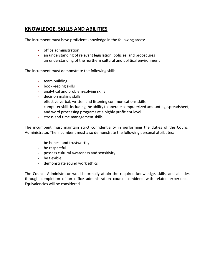# **KNOWLEDGE, SKILLS AND ABILITIES**

The incumbent must have proficient knowledge in the following areas:

- office administration
- an understanding of relevant legislation, policies, and procedures
- an understanding of the northern cultural and political environment

The incumbent must demonstrate the following skills:

- team building
- bookkeeping skills
- analytical and problem-solving skills
- decision making skills
- effective verbal, written and listening communications skills
- computer skills including the ability to operate computerized accounting, spreadsheet, and word processing programs at a highly proficient level
- stress and time management skills

The incumbent must maintain strict confidentiality in performing the duties of the Council Administrator. The incumbent must also demonstrate the following personal attributes:

- be honest and trustworthy
- be respectful
- possess cultural awareness and sensitivity
- be flexible
- demonstrate sound work ethics

The Council Administrator would normally attain the required knowledge, skills, and abilities through completion of an office administration course combined with related experience. Equivalencies will be considered.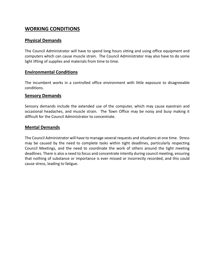## **WORKING CONDITIONS**

#### **Physical Demands**

The Council Administrator will have to spend long hours sitting and using office equipment and computers which can cause muscle strain. The Council Administrator may also have to do some light lifting of supplies and materials from time to time.

#### **Environmental Conditions**

The incumbent works in a controlled office environment with little exposure to disagreeable conditions.

#### **Sensory Demands**

Sensory demands include the extended use of the computer, which may cause eyestrain and occasional headaches, and muscle strain. The Town Office may be noisy and busy making it difficult for the Council Administrator to concentrate.

#### **Mental Demands**

The Council Administrator will have to manage several requests and situations at one time. Stress may be caused by the need to complete tasks within tight deadlines, particularly respecting Council Meetings, and the need to coordinate the work of others around the tight meeting deadlines. There is also a need to focus and concentrate intently during council meeting, ensuring that nothing of substance or importance is ever missed or incorrectly recorded, and this could cause stress, leading to fatigue.